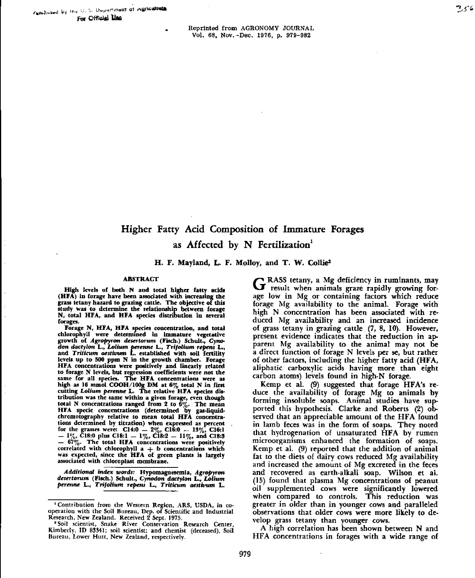• Reprinted from AGRONOMY JOURNAL Vol. 68, Nov. -Dec. 1976, p. 979-982

# Higher Fatty Acid Composition of Immature Forages as Affected by N Fertilization'

**H. F. Mayland, L. F. Molloy, and T. W. Collies**

#### ABSTRACT

High levels of both N and total higher fatty acids (HFA) in forage have been associated with increasing the grass tetany hazard to grazing cattle. The objective of this study was to determine the relationship between forage **N,** total HFA, and HFA species distribution in several forages.

**Forage N, ETA,** MIAspecies concentration, and total chlorophyll were determined in immature vegetative growth of Agropyron desertorum (Fisch.) Schult., Cyno*don dactylon* L., *Loliutn perenne* L., Trifoliunt *repent L.,* and Trillcum *aestiuson* L. established with soil fertility levels up to 500 ppm N in the growth chamber. Forage HFA concentrations were positively and linearly related to forage N levels, but regression coefficients were not the same for all species. **The HFA** concentrations were as high as **16 mmol COOH/100g DM** at 6% total N in first cutting *Lolium perenne* L. The relative HFA species distribution was the same within a given forage, even though total N concentrations ranged from 2 to  $6\%$ . The mean HFA specie concentrations (determined by gas-liquidchromatography relative to mean total HFA concentrations determined by titration) when expressed as percent<br>for the grasses were: C14:0 - 2%, C16:0 - 13%, C16:1<br>- 1%, C18:0 plus C18:1 - 1%, C18:2 - 11%, and C18:3  $-$  67%. The total HFA concentrations were positively correlated with chlorophyll  ${\sf a\, +\, b\,}$  concentrations which was expected, since the HFA of green plants is largely associated with chloroplast membrane.

*Additional index words:* Hypomagnesemia, Agropyron *desertorum* (Fisch.) Schult., Cynodon *dadylon L., Loamy: perenne* L., *Tato:tuns repens L, Thanatos aestivuns* L.

G RASS tetany, a Mg deficiency in ruminants, may<br>G result when animals graze rapidly growing for-RASS tetany, a Mg deficiency in ruminants, may age low in Mg or containing factors which reduce forage Mg availability to the animal. Forage with high N concentration has been associated with reduced Mg availability and an increased incidence of grass tetany in grazing cattle (7, 8, 10). However, present evidence indicates that the reduction in apparent Mg availability to the animal may not be a direct function of forage N levels per se, but rather of other factors, including the higher fatty acid (HFA, aliphatic carboxylic acids having more than eight carbon atoms) levels found in high-N forage.

Kemp et al. (9) suggested that forage HFA's reduce the availability of forage Mg to animals by forming insoluble soaps. Animal studies have supported this hypothesis. Clarke and Roberts (2) observed that an appreciable amount of the HFA found in lamb feces was in the form of soaps. They noted that hydrogenation of unsaturated HFA by rumen microorganisms enhanced the formation of soaps. Kemp et al. (9) reported that the addition of animal fat to the diets of dairy cows reduced Mg availability and increased the amount of Mg excreted in the feces and recovered as earth-alkali soap. Wilson et al. (15) found that plasma Mg concentrations of peanut oil supplemented cows were significantly lowered when compared to controls. This reduction was greater in older than in younger cows and paralleled observations that older cows were more likely to develop grass tetany than younger cows.

A high correlation has been shown between N and FIFA concentrations in forages with a wide range of

<sup>&#</sup>x27;Contribution from the Western Region, ARS, USDA, in cooperation with the Soil Bureau, Dep. of Scientific and Industrial Research, New Zealand. Received 2 Sept. 1975.

<sup>&#</sup>x27;Soil scientist, Snake River Conservation Research Center, Kimberly, ID 83341; soil scientist; and chemist (deceased), Soil Bureau, Lower Hutt, New Zealand, respectively.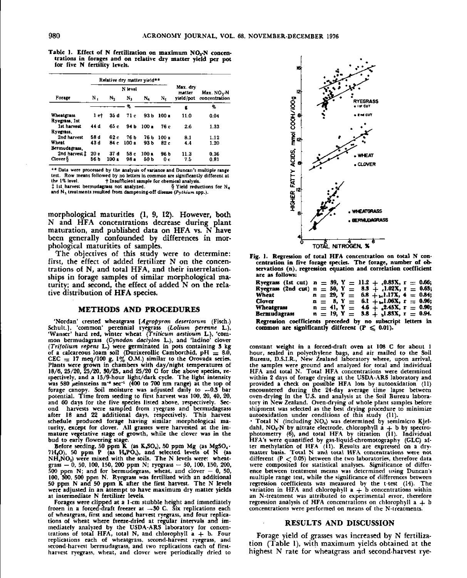**Table** *I.* **Effect of N fertilization on maximum NO**3•N **concen**trations in forages and on relative dry matter yield per pot for five N fertility levels.

|                                    |         | Relative dry matter vield** |       |         |       |                    |                         |
|------------------------------------|---------|-----------------------------|-------|---------|-------|--------------------|-------------------------|
|                                    | N level |                             |       |         |       | Max. drv<br>matter | Max. NO <sub>3</sub> -N |
| Forage                             | Ν,      | N <sub>2</sub>              | Ν,    | N.      | Ν,    | yield/pot          | concentration           |
|                                    |         |                             | Ŷo    |         |       | E                  | 96                      |
| <b>Wheatgrass</b><br>Ryegrass, 1st | 1 et    | 35 d                        | 71 e  | 93 h    | 100 a | 11.0               | 0.04                    |
| 1st harvest<br>Ryegrass.           | 44 d    | 65 c                        | 94 b  | $100 -$ | 76 e  | 2.6                | 1.33                    |
| 2nd harvest                        | 58 d    | 62 c                        | 76 b  | 76 b    | 100P  | 8.1                | 1.12                    |
| Wheat<br>Bermudagrass.             | 43 d    | 84 c                        | 100 a | 93 b    | 82 c  | 4.4                | 1.20                    |
| 2nd harvest 1                      | 20 в    | 37 d                        | 58 e  | 100 a   | 96 b  | 11.3               | 0.36                    |
| Clover &                           | 56 b    | 1001                        | 98 -  | 50 b    | 0 c   | 7.5                | 0.81                    |

\*\* Data were processed by the analysis of variance and Duncan's multiple range test. Row means followed by no letters in common are significantly different at  $\dagger$  Insufficient sample for chemical analysis.<br> **1888** not analyzed.  $\frac{8}{3}$  Yield reductions for N<sub>a</sub>

 $\ddagger$  1st harvest bermudagrass not analyzed. and N<sub>s</sub> treatments resulted from dampening-off disease (Pythiam spp.).

morphological maturities (1, 9, 12). However, both N and HFA concentrations decrease during plant maturation, and published data on HFA **vs.** N have been generally confounded by differences in morphological maturities of samples.

The objectives of this study were to determine: first, the effect of added fertilizer N on the concentrations of N, and total HFA, and their interrelationships in forage samples of similar morphological maturity; and second, the effect of added N on the relative distribution of HFA species.

## **METHODS AND PROCEDURES**

'Nordan' crested wheatgrass *[Agropyron desertorum* (Fisch.) Schuh.). 'common' perennial ryegrass *(Latium perenne* L.), 'Wanser' hard red, winter wheat *(Triticum aestivum* **L.), 'com**mon bermudagrass (Cynodon *declylon* L.), and 'ladino' clover *(Trifolium repens* L.) were germinated in pots containing 3 kg of a calcareous loam soil (Durixerollic Camborthid, pH =  $8.0$ , CEC  $= 17 \text{ meq}/100 \text{ g}$ ,  $1\%$  O.M.) similar to the Orovada series.<br>Plants were grown in chambers with day/night temperatures of 18/6, 25/20, 25/20, 30/25, and 25/20 C for the above species, respectively, and a 15/9-hour light/dark cycle. The light intensity was 580  $\mu$ einsteins m<sup>-1</sup> sec<sup>-1</sup> (400 to 700 nm range) at the top of forage canopy. Soil moisture was adjusted daily to —0.3 bar potential. Time from seeding to first harvest was 100, 20, 40, 20, and 60 days for the five species listed above, respectively. Second harvests were sampled from ryegrass and bermudagrass after 18 and 22 additional days, respectively. This harvest schedule produced forage having similar morphological maturity. except for clover. All grasses were harvested at the immature vegetative stage of growth, while the clover was in the

bud to early flowering stage.<br>Before seeding, 50 ppm K (as K<sub>2</sub>SO<sub>4</sub>), 50 ppm Mg (as MgSO<sub>4</sub>·<br>7H<sub>1</sub>O), 50 ppm P (as H<sub>2</sub>PO<sub>4</sub>), and selected levels of N (as NH,NO3) were mixed with the soils. The N levels were: wheatgrass — 0, 50, 100, 150, 200 ppm N; ryegrass — 50, I00, 150, 200, 500 ppm N; and for bermudegrass, wheat, and clover — 0, 50, 100, 300, 500 ppm N. Ryegrass was fertilized with an additional 50 ppm N and 50 ppm K after the first harvest. The N levels were adjusted in an attempt to have maximum dry matter yields at intermediate N fertilizer levels.

Forages were clipped at a 1-cm stubble height and immediately frozen in a forced-draft freezer at —.30 C. Six replications each of wheatgrass, first and second harvest ryegrass, and four replications of wheat where freeze-dried at regular intervals and immediately analyzed by the USDA-ARS laboratory for concentrations of total HFA, total N, and chlorophyll  $a + b$ . Four replications each of wheatgrass, second-harvest ryegrass, and second-harvest bermudagrass, and two replications each of firstharvest ryegrass, wheat, and clover were periodically dried to



Fig. 1. Regression of total HFA concentration on total N concentration **in** five forage species. The forage, number of ob-servations (n). regression equation and correlation coefficient are as follows:

|                                                             | Ryegrass (1st cut) $n = 39$ , Y = 11.2 + 0.83X, r = 0.66; |  |  |  |
|-------------------------------------------------------------|-----------------------------------------------------------|--|--|--|
|                                                             | Ryegrass (2nd cut) n = 50, Y = 8.3 + .1.02X, r = 0.63;    |  |  |  |
| Wheat                                                       | $n = 29, Y = 6.8 + r.1.17X, 4 = 0.84;$                    |  |  |  |
| Clover                                                      | $n = 8, Y = 6.1 + 1.06X, r = 0.96;$                       |  |  |  |
| Wheatgrass                                                  | $n = 41, Y = 4.6 + .2.45X, r = 0.90;$                     |  |  |  |
| Bermudagrass                                                | $n = 19, Y = 3.8 + 1.83X, r = 0.94.$                      |  |  |  |
| Regression coefficients preceded by no subscript letters in |                                                           |  |  |  |

common are significantly different  $(P \leq 0.01)$ .

constant weight in a forced-draft oven at 108 C for about I hour, sealed in polyethylene bags, and air mailed to the Soil Bureau, D.S.I.R., New Zealand laboratory where, upon arrival, the samples were ground and analyzed for total and individual HFA and total N. Total HFA concentrations were determined within 2 days of forage drying at the USDA-ARS laboratory and provided a check on possible HFA loss by autooxidation (11) encountered during the 24-day average time lapse between oven-drying in the U.S. and analysis at the Soil Bureau laboratory in New Zealand. Oven-drying of whole plant samples before shipment was selected as the best drying procedure to minimize autooxidation under conditions of this study (11).

• Total N (including NO,} was determined by semimicro Kjeldahl, NO<sub>3</sub> N by nitrate electrode, chlorophyll a + b by spectrophotometry (6), and total HFA by titration (II). Individual HFA's were quantified by gas-liquid-chromotography (GLC) af-ter methylation of HFA (11). Results are expressed on a drymatter basis. Total N and total HFA concentrations were not different  $(P < 0.05)$  between the two laboratories, therefore data were composited for statistical analyses. Significance of difference between treatment means was determined using Duncan's multiple range test, while the significance of differences between regression coefficients was measured by the t-test (14). The variation in HFA and chlorophyll  $a + b$  concentrations within an N-treatment was attributed to experimental error, therefore regression analysis of HFA concentrations on chlorophyll a  $+$  b concentrations were performed on means of the N-treatments.

# RESULTS AND DISCUSSION

Forage yield of grasses was increased by N fertilization (Table 1), with maximum yields obtained at the highest N rate for wheatgrass and second-harvest rye-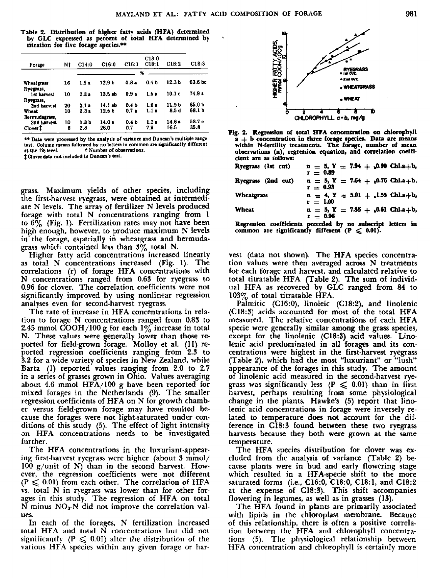**Table 2. Distribution of higher fatty adds (HFA) determined by GLC expressed as percent of total HFA determined by • titration for five forage species.\*\***

| Forme                        | Nt       | C14:0                       | C16:0             | C16:1                                | C18:0<br>C18:1   | C18:2           | C18:3            |
|------------------------------|----------|-----------------------------|-------------------|--------------------------------------|------------------|-----------------|------------------|
|                              |          |                             |                   |                                      | %                |                 |                  |
| Wheatgrass<br>Rvegrass.      | 16       | 1.9 <sub>4</sub>            | 12.9 <sub>b</sub> | $0.8 -$                              | 0.4 b            | 12.3 Ь          | 63.6 bc          |
| 1st harvest<br>Rvegram.      | 10       | $2.3*$                      | 13.5 ab           | 0.9 <sub>n</sub>                     | 1.5 <sub>8</sub> | 10.1c           | $74.9*$          |
| 2nd harvest<br><b>Wheat</b>  | 20<br>10 | $2.1 -$<br>2.3 <sub>1</sub> | 14.1 ab<br>12.5 b | 0.4 <sub>b</sub><br>0.7 <sub>a</sub> | 1.6 a<br>1.1 a   | 11.9 b<br>8.5 d | 65.O b<br>68.1 b |
| Bermudagrass.<br>2nd harvest | 10       | 1.3 b                       | 14.0 ±            | 0.4 <sub>b</sub>                     | 1.2 <sub>0</sub> | 14.6 a          | 58.7 с           |
| Clover <sup>1</sup>          | 8        | 2.8                         | 26.0              | 0.7                                  | 79               | 16.5            | 35.B             |

**le Data were processed by the analysis of variance and Duncan's multiple range teat. Column means followed by no letters in common are significantly different at the 1% level. t Number of observations.**

**aoverdata not included In Duncan's teat.**

grass. Maximum yields of other species, including the first-harvest ryegrass, were obtained at intermediate N levels. The array of fertilizer N levels produced forage with total N concentrations ranging from 1 to 6% (Fig. 1). Fertilization rates may not have been high enough, however, to produce maximum N **levels** in the forage, especially in wheatgrass and bermudagrass which contained less than  $3\%$  total N.

Higher fatty acid concentrations increased linearly as total N concentrations increased (Fig. 1). The correlations (r) of forage HFA concentrations with N concentrations ranged from 0.63 for ryegrass to 0.96 for clover. The correlation coefficients were not significantly improved by using nonlinear regression analyses even for second-harvest ryegrass.

The rate of increase in HFA concentrations in relation to forage N concentrations ranged from 0.83 to 2.45 mmol COOH/100 g for each  $1\%$  increase in total N. These values were generally lower than those reported for field-grown forage. Molloy et al. (11) reported regression coefficients ranging from 2.3 to 3.2 for a wide variety of species in New Zealand, while Barta (1) reported values ranging from 2.0 to 2.7 in a series of grasses grown in Ohio. Values averaging about 4.6 mmol HFA/100 g have been reported for mixed forages in the Netherlands (9). The smaller regression coefficients of HFA on N for growth chamber versus field-grown forage may have resulted because the forages were not light-saturated under conditions of this study (5). The effect of light intensity on HFA concentrations needs to be investigated further.

The HFA concentrations in the luxuriant-appearing first-harvest ryegrass were higher (about 3 mmol/ 100 g/unit of N) than in the second harvest. However, the regression coefficients were not different  $(P \leq 0.01)$  from each other. The correlation of HFA vs. total N in ryegrass was lower than for other forages in this study. The regression of HFA on total N minus  $NO<sub>3</sub>$ -N did not improve the correlation values.

In each of the forages, N fertilization increased total HFA and total N concentrations but did not significantly ( $P \le 0.01$ ) alter the distribution of the various HFA species within any given forage or har-





| Ryegram (1st cut)  | $n = 5, Y = 7.94 + 0.90$ Chl.a+b,<br>$r = 0.89$     |
|--------------------|-----------------------------------------------------|
| Ryegrass (2nd cut) | $n = 5, Y = 7.64 + 0.76$ Chi.a + b.<br>$r = 0.93$   |
| <b>Wheatgrass</b>  | $n = 4$ , $Y = 5.01 + 1.55$ Chla+b,<br>$r = 1.00$   |
| <b>Wheat</b>       | $n = 5$ , $Y = 7.35 + 0.61$ Chl.a.+b,<br>$r = 0.96$ |
|                    |                                                     |

**Regression coefficients preceded by no subscript letters in common arc significantly different (P < 0.00.**

vest (data not shown). The HFA species concentration values were then averaged across N treatments for each forage and harvest, and calculated relative to total titratable HFA (Table 2). The sum of individual HFA as recovered by GLC ranged from 84 to 103% of total titratable HFA.

Palmitic (C16:0), linoleic (C18:2), and linolenic (C 18:3) acids accounted for most of the total HFA measured. The relative concentrations of each HFA specie were generally similar among the grass species, except for the linolenic (C18:3) acid values. Linolenic acid predominated in all forages and its concentrations were highest in the first-harvest ryegrass (Table 2), which had the most "luxuriant" or "lush" appearance of the forages in this study. The amount of linolenic acid measured in the second-harvest ryegrass was significantly less ( $P \le 0.01$ ) than in first harvest, perhaps resulting from some physiological change in the plants. Hawke's (5) report that linolenic acid concentrations in forage were inversely related to temperature does not account for the difference in C18:3 found between these two ryegrass harvests because they both were grown at the same temperature.

The HFA species distribution for clover was excluded from the analysis of variance (Table 2) because plants were in bud and early flowering stage which resulted in a HFA-specie shift to the more saturated forms (i.e.,  $C16:0$ ,  $C18:0$ ,  $C18:1$ , and  $C18:2$ at the expense of C18:3). This shift accompanies flowering in legumes, as well as in grasses (13).

The HFA found in plants are primarily associated with lipids in the chloroplast membrane. Because of this relationship, there is often a positive correlation between the HFA and chlorophyll concentrations (5). The physiological relationship between HFA concentration and chlorophyll is certainly more